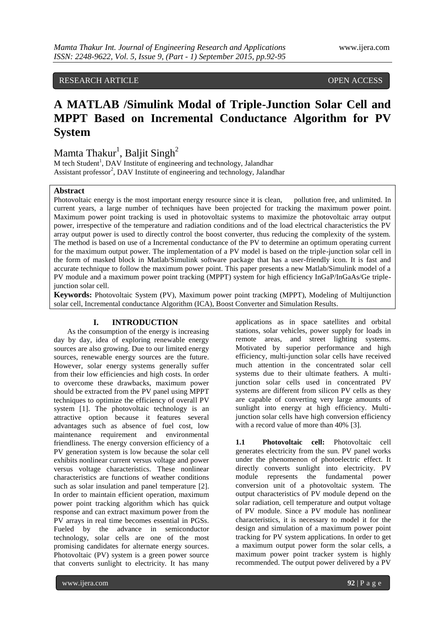## RESEARCH ARTICLE OPEN ACCESS

# **A MATLAB /Simulink Modal of Triple-Junction Solar Cell and MPPT Based on Incremental Conductance Algorithm for PV System**

## Mamta Thakur<sup>1</sup>, Baljit Singh<sup>2</sup>

M tech Student<sup>1</sup>, DAV Institute of engineering and technology, Jalandhar Assistant professor<sup>2</sup>, DAV Institute of engineering and technology, Jalandhar

## **Abstract**

Photovoltaic energy is the most important energy resource since it is clean, pollution free, and unlimited. In current years, a large number of techniques have been projected for tracking the maximum power point. Maximum power point tracking is used in photovoltaic systems to maximize the photovoltaic array output power, irrespective of the temperature and radiation conditions and of the load electrical characteristics the PV array output power is used to directly control the boost converter, thus reducing the complexity of the system. The method is based on use of a Incremental conductance of the PV to determine an optimum operating current for the maximum output power. The implementation of a PV model is based on the triple-junction solar cell in the form of masked block in Matlab/Simulink software package that has a user-friendly icon. It is fast and accurate technique to follow the maximum power point. This paper presents a new Matlab/Simulink model of a PV module and a maximum power point tracking (MPPT) system for high efficiency InGaP/InGaAs/Ge triplejunction solar cell.

**Keywords:** Photovoltaic System (PV), Maximum power point tracking (MPPT), Modeling of Multijunction solar cell, Incremental conductance Algorithm (ICA), Boost Converter and Simulation Results.

## **I. INTRODUCTION**

As the consumption of the energy is increasing day by day, idea of exploring renewable energy sources are also growing. Due to our limited energy sources, renewable energy sources are the future. However, solar energy systems generally suffer from their low efficiencies and high costs. In order to overcome these drawbacks, maximum power should be extracted from the PV panel using MPPT techniques to optimize the efficiency of overall PV system [1]. The photovoltaic technology is an attractive option because it features several advantages such as absence of fuel cost, low maintenance requirement and environmental friendliness. The energy conversion efficiency of a PV generation system is low because the solar cell exhibits nonlinear current versus voltage and power versus voltage characteristics. These nonlinear characteristics are functions of weather conditions such as solar insulation and panel temperature [2]. In order to maintain efficient operation, maximum power point tracking algorithm which has quick response and can extract maximum power from the PV arrays in real time becomes essential in PGSs. Fueled by the advance in semiconductor technology, solar cells are one of the most promising candidates for alternate energy sources. Photovoltaic (PV) system is a green power source that converts sunlight to electricity. It has many

applications as in space satellites and orbital stations, solar vehicles, power supply for loads in remote areas, and street lighting systems. Motivated by superior performance and high efficiency, multi-junction solar cells have received much attention in the concentrated solar cell systems due to their ultimate feathers. A multijunction solar cells used in concentrated PV systems are different from silicon PV cells as they are capable of converting very large amounts of sunlight into energy at high efficiency. Multijunction solar cells have high conversion efficiency with a record value of more than 40% [3].

**1.1 Photovoltaic cell:** Photovoltaic cell generates electricity from the sun. PV panel works under the phenomenon of photoelectric effect. It directly converts sunlight into electricity. PV module represents the fundamental power conversion unit of a photovoltaic system. The output characteristics of PV module depend on the solar radiation, cell temperature and output voltage of PV module. Since a PV module has nonlinear characteristics, it is necessary to model it for the design and simulation of a maximum power point tracking for PV system applications. In order to get a maximum output power form the solar cells, a maximum power point tracker system is highly recommended. The output power delivered by a PV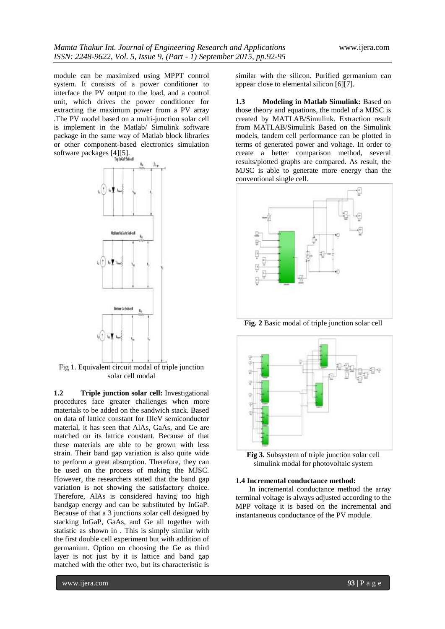module can be maximized using MPPT control system. It consists of a power conditioner to interface the PV output to the load, and a control unit, which drives the power conditioner for extracting the maximum power from a PV array .The PV model based on a multi-junction solar cell is implement in the Matlab/ Simulink software package in the same way of Matlab block libraries or other component-based electronics simulation Software packages [4][5].



Fig 1. Equivalent circuit modal of triple junction solar cell modal

**1.2 Triple junction solar cell:** Investigational procedures face greater challenges when more materials to be added on the sandwich stack. Based on data of lattice constant for IIIeV semiconductor material, it has seen that AlAs, GaAs, and Ge are matched on its lattice constant. Because of that these materials are able to be grown with less strain. Their band gap variation is also quite wide to perform a great absorption. Therefore, they can be used on the process of making the MJSC. However, the researchers stated that the band gap variation is not showing the satisfactory choice. Therefore, AlAs is considered having too high bandgap energy and can be substituted by InGaP. Because of that a 3 junctions solar cell designed by stacking InGaP, GaAs, and Ge all together with statistic as shown in . This is simply similar with the first double cell experiment but with addition of germanium. Option on choosing the Ge as third layer is not just by it is lattice and band gap matched with the other two, but its characteristic is

similar with the silicon. Purified germanium can appear close to elemental silicon [6][7].

**1.3 Modeling in Matlab Simulink:** Based on those theory and equations, the model of a MJSC is created by MATLAB/Simulink. Extraction result from MATLAB/Simulink Based on the Simulink models, tandem cell performance can be plotted in terms of generated power and voltage. In order to create a better comparison method, several results/plotted graphs are compared. As result, the MJSC is able to generate more energy than the conventional single cell.



**Fig. 2** Basic modal of triple junction solar cell



**Fig 3.** Subsystem of triple junction solar cell simulink modal for photovoltaic system

#### **1.4 Incremental conductance method:**

In incremental conductance method the array terminal voltage is always adjusted according to the MPP voltage it is based on the incremental and instantaneous conductance of the PV module.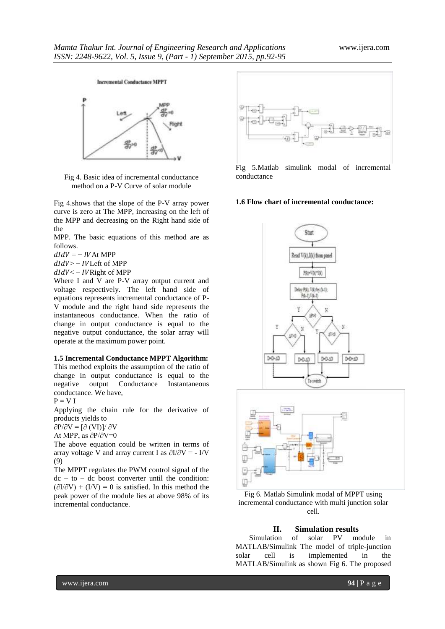#### **Incremental Conductance MPPT**



Fig 4. Basic idea of incremental conductance method on a P-V Curve of solar module

Fig 4.shows that the slope of the P-V array power curve is zero at The MPP, increasing on the left of the MPP and decreasing on the Right hand side of the

MPP. The basic equations of this method are as follows.

 $dIdV = - IVAt MPP$ 

 $dIdV$  > - IVLeft of MPP

 $dIdV < - IV$ Right of MPP

Where I and V are P-V array output current and voltage respectively. The left hand side of equations represents incremental conductance of P-V module and the right hand side represents the instantaneous conductance. When the ratio of change in output conductance is equal to the negative output conductance, the solar array will operate at the maximum power point.

#### **1.5 Incremental Conductance MPPT Algorithm:**

This method exploits the assumption of the ratio of change in output conductance is equal to the negative output Conductance Instantaneous conductance. We have,

$$
P = V I
$$

Applying the chain rule for the derivative of products yields to

 $\partial P/\partial V = [\partial (VI)]/\partial V$ 

At MPP, as ∂P/∂V=0

The above equation could be written in terms of array voltage V and array current I as  $\partial I/\partial V = -I/V$ (9)

The MPPT regulates the PWM control signal of the  $dc - to - dc$  boost converter until the condition:  $(\partial I/\partial V) + (I/V) = 0$  is satisfied. In this method the peak power of the module lies at above 98% of its incremental conductance.



Fig 5.Matlab simulink modal of incremental conductance

## **1.6 Flow chart of incremental conductance:**





Fig 6. Matlab Simulink modal of MPPT using incremental conductance with multi junction solar cell.

## **II. Simulation results**

Simulation of solar PV module in MATLAB/Simulink The model of triple-junction solar cell is implemented in the MATLAB/Simulink as shown Fig 6. The proposed